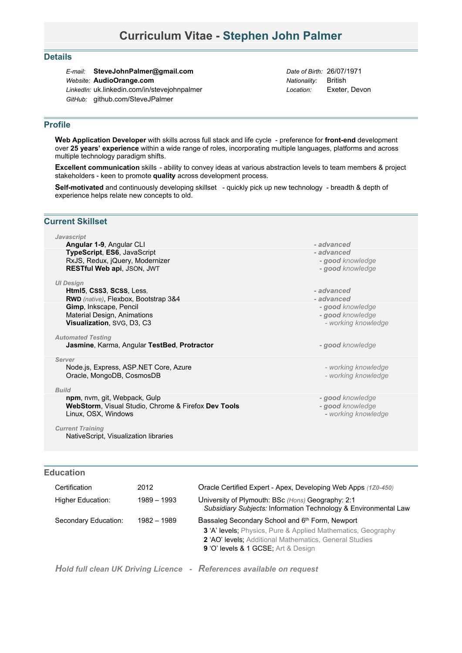# **Curriculum Vitae - Stephen John Palmer**

### **Details**

*E-mail:* **SteveJohnPalmer@gmail.com** *Date of Birth:* 26/07/1971 *Website:* **[AudioOrange.com](http://audioorange.com/)** *Nationality:* British *LinkedIn:* uk.linkedin.com/in/stevejohnpalmer *Location:* Exeter, Devon *GitHub:* [github.com/SteveJPalmer](http://github.com/SteveJPalmer)

### **Profile**

**Web Application Developer** with skills across full stack and life cycle - preference for **front-end** development over **25 years' experience** within a wide range of roles, incorporating multiple languages, platforms and across multiple technology paradigm shifts.

**Excellent communication** skills - ability to convey ideas at various abstraction levels to team members & project stakeholders - keen to promote **quality** across development process.

**Self-motivated** and continuously developing skillset - quickly pick up new technology - breadth & depth of experience helps relate new concepts to old.

### **Current Skillset**

#### *Javascript*

**Angular 1-9**, Angular CLI *- advanced* **TypeScript, ES6, JavaScript** *CON CON CON***<sub>2</sub> <b>***CON***<sub>2</sub> <b>***CON CON***<sub>2</sub> <b>***CON CON CON CON CON CON CON COO <i>COO <i>COO COO COO* RxJS, Redux, jQuery, Modernizer **-** *agood knowledge* - *good knowledge* - **RESTful Web api.** JSON, JWT **RESTful Web api**, JSON, JWT *- good knowledge*

#### *UI Design*

**Html5**, **CSS3**, **SCSS**, Less*, - advanced* **RWD** *(native)*, Flexbox, Bootstrap 3&4 *- advanced* **Gimp**, Inkscape, Pencil *- good knowledge* Material Design, Animations *- good knowledge* **Visualization**, SVG, D3, C3

*Automated Testing* **Jasmine**, Karma, Angular **TestBed**, **Protractor** *- good knowledge*

*Server*

Node.js, Express, ASP.NET Core, Azure *- working knowledge* Oracle, MongoDB, CosmosDB *- working knowledge*

#### *Build*

**npm**, nvm, git, Webpack, Gulp **and** *a* Firefox Dev Tools **and** *- good knowledge - good knowledge - <b>webStorm, Visual Studio, Chrome & Firefox Dev Tools a <i>Completion of the good knowledge* **WebStorm**, Visual Studio, Chrome & Firefox **Dev Tools** *- good knowledge* Linux, OSX, Windows

NativeScript, Visualization libraries

- 
- 
- 

*Current Training*

#### **Education**

| Certification        | 2012        | Oracle Certified Expert - Apex, Developing Web Apps (1Z0-450)                                                                                                                                                                       |
|----------------------|-------------|-------------------------------------------------------------------------------------------------------------------------------------------------------------------------------------------------------------------------------------|
| Higher Education:    | 1989 – 1993 | University of Plymouth: BSc (Hons) Geography: 2:1<br>Subsidiary Subjects: Information Technology & Environmental Law                                                                                                                |
| Secondary Education: | 1982 – 1989 | Bassaleg Secondary School and 6th Form, Newport<br><b>3 'A' levels:</b> Physics, Pure & Applied Mathematics, Geography<br>2 'AO' levels; Additional Mathematics, General Studies<br><b>9 'O' levels &amp; 1 GCSE</b> ; Art & Design |

*Hold full clean UK Driving Licence -References available on request*